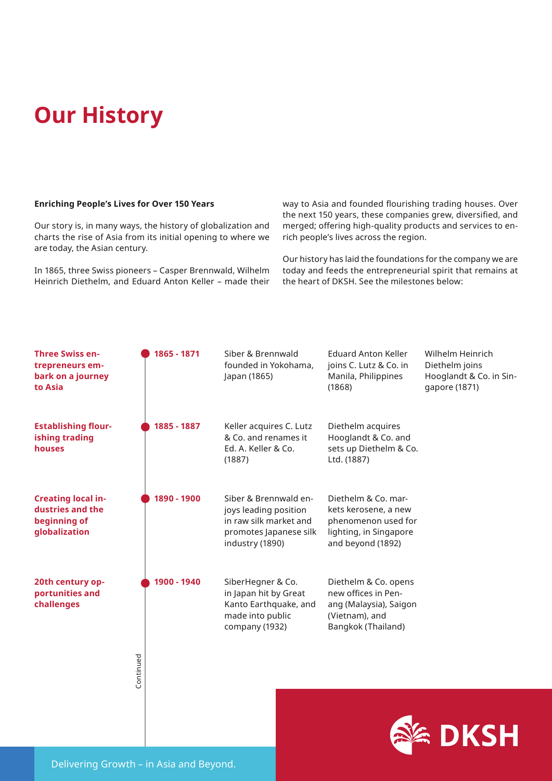# **Our History**

#### **Enriching People's Lives for Over 150 Years**

Our story is, in many ways, the history of globalization and charts the rise of Asia from its initial opening to where we are today, the Asian century.

In 1865, three Swiss pioneers – Casper Brennwald, Wilhelm Heinrich Diethelm, and Eduard Anton Keller – made their way to Asia and founded flourishing trading houses. Over the next 150 years, these companies grew, diversified, and merged; offering high-quality products and services to enrich people's lives across the region.

Our history has laid the foundations for the company we are today and feeds the entrepreneurial spirit that remains at the heart of DKSH. See the milestones below: